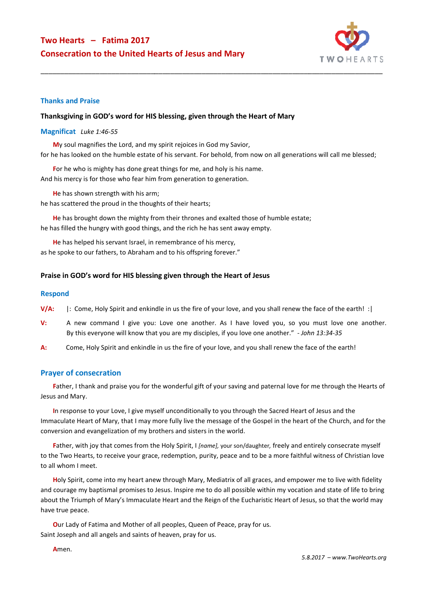

#### **Thanks and Praise**

#### **Thanksgiving in GOD's word for HIS blessing, given through the Heart of Mary**

#### **Magnificat** *Luke 1:46-55*

**M**y soul magnifies the Lord, and my spirit rejoices in God my Savior, for he has looked on the humble estate of his servant. For behold, from now on all generations will call me blessed;

For he who is mighty has done great things for me, and holy is his name. And his mercy is for those who fear him from generation to generation.

He has shown strength with his arm;

he has scattered the proud in the thoughts of their hearts;

He has brought down the mighty from their thrones and exalted those of humble estate; he has filled the hungry with good things, and the rich he has sent away empty.

**H**e has helped his servant Israel, in remembrance of his mercy, as he spoke to our fathers, to Abraham and to his offspring forever."

### Praise in GOD's word for HIS blessing given through the Heart of Jesus

#### **Respond**

- **V/A:** |: Come, Holy Spirit and enkindle in us the fire of your love, and you shall renew the face of the earth! :|
- **V:** A new command I give you: Love one another. As I have loved you, so you must love one another. By this everyone will know that you are my disciples, if you love one another." - *John 13:34 13:34-35*
- **A:** Come, Holy Spirit and enkindle in us the fire of your love, and you shall renew the face of the earth!

### **Prayer of consecration**

Father, I thank and praise you for the wonderful gift of your saving and paternal love for me through the Hearts of Jesus and Mary.

In response to your Love, I give myself unconditionally to you through the Sacred Heart of Jesus and the Immaculate Heart of Mary, that I may more fully live the message of the Gospel in the heart of the Church, and for the conversion and evangelization of my brothers and sisters in the world.

**F**ather, with joy that comes from the Holy Spirit, I *[name],* your son/daughter*,* freely and entirely consecrate myself to the Two Hearts, to receive your grace, redemption, purity, peace and to be a more faithful witness of Christian love to all whom I meet.

Holy Spirit, come into my heart anew through Mary, Mediatrix of all graces, and empower me to live with fidelity and courage my baptismal promises to Jesus. Inspire me to do all possible within my vocation and state of life to bring about the Triumph of Mary's Immaculate Heart and the Reign of the Eucharistic Heart of Jesus, so that the world may have true peace.

Our Lady of Fatima and Mother of all peoples, Queen of Peace, pray for us. Saint Joseph and all angels and saints of heaven, pray for us.

**A**men.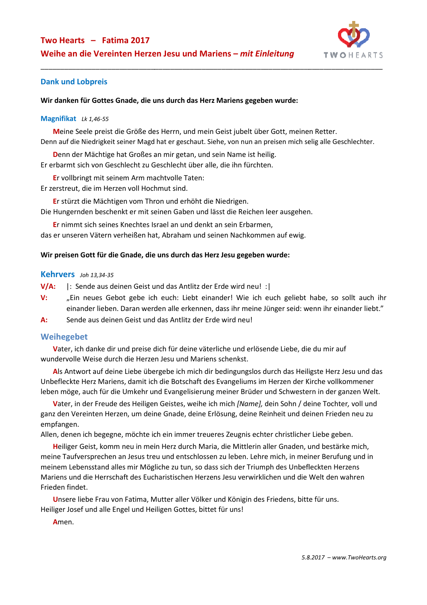

### **Dank und Lobpreis**

### Wir danken für Gottes Gnade, die uns durch das Herz Mariens gegeben wurde:

#### **Magnifikat** *Lk 1,46-55*

**M**eine Seele preist die Größe des Herrn, und mein Geist jubelt über Gott, meinen Retter. Denn auf die Niedrigkeit seiner Magd hat er geschaut. Siehe, von nun an preisen mich selig alle Geschlechter.

**D**enn der Mächtige hat Großes an mir getan, und sein Name ist heilig.

Er erbarmt sich von Geschlecht zu Geschlecht über alle, die ihn fürchten.

**E**r vollbringt mit seinem Arm machtvolle Taten:

Er zerstreut, die im Herzen voll Hochmut sind.

**E**r stürzt die Mächtigen vom Thron und erhöht die Niedrigen.

Die Hungernden beschenkt er mit seinen Gaben und l lässt die Reichen leer ausgehen.

**E**r nimmt sich seines Knechtes Israel an und denkt an sein Erbarmen, s das er unseren Vätern verheißen hat, Abraham und seinen Nachkommen auf ewig.

### **Wir preisen Gott für die Gnade, die uns durch das Herz Jesu gegeben wurde:**

### **Kehrvers** *Joh 13,34-35*

**V/A:** |: Sende aus deinen Geist und das Antlitz der Erde wird neu! :|

- V: "Ein neues Gebot gebe ich euch: Liebt einander! Wie ich euch geliebt habe, so sollt auch ihr einander lieben. Daran werden alle erkennen, dass ihr meine Jünger seid: wenn ihr einander liebt." ässt die Reichen leer ausgehen.<br>
1 an sein Erbarmen,<br>
1 einen Nachkommen auf ewig.<br>
1 erz **Jesu gegeben wurde:**<br>
1 Erde wird neu! :|<br>
1 ander! Wie ich euch geliebt habe, so sollt auch ihr<br>
1, dass ihr meine Jünger seid: we
- **A:** Sende aus deinen Geist und das Antlitz der Erde wird neu!

### **Weihegebet**

**V**ater, ich danke dir und preise dich für deine väterliche und erlösende Liebe, die du mir auf wundervolle Weise durch die Herzen Jesu und Mariens schenkst.

**A**ls Antwort auf deine Liebe übergebe ich mich dir bedingungslos durch das Heiligste Herz Jesu und das Unbefleckte Herz Mariens, damit ich die Botschaft des Evangeliums im Herzen der Kirche vollkommener leben möge, auch für die Umkehr und Evangelisierung meiner Brüder und Schwestern in der ganzen Welt.

Vater, in der Freude des Heiligen Geistes, weihe ich mich [Name], dein Sohn / deine Tochter, voll und ganz den Vereinten Herzen, um deine Gnade, deine Erlösung, deine Reinheit und deinen Frieden neu zu empfangen.

Allen, denen ich begegne, möchte ich ein immer treueres Zeugnis echter christlicher Liebe geben.

Heiliger Geist, komm neu in mein Herz durch Maria, die Mittlerin aller Gnaden, und bestärke mich, meine Taufversprechen an Jesus treu und entschlossen zu leben. Lehre mich, in meiner Berufung und in meinem Lebensstand alles mir Mögliche zu tun, so dass sich der Triumph des Unbefleckten Herzens Mariens und die Herrschaft des Eucharistischen Herzens Jesu verwirklichen und die Welt den wahren Frieden findet.

**U**nsere liebe Frau von Fatima, Mutter aller Völker und Königin des Friedens, bitte für uns. Heiliger Josef und alle Engel und Heiligen Gottes, bittet für uns!

**A**men.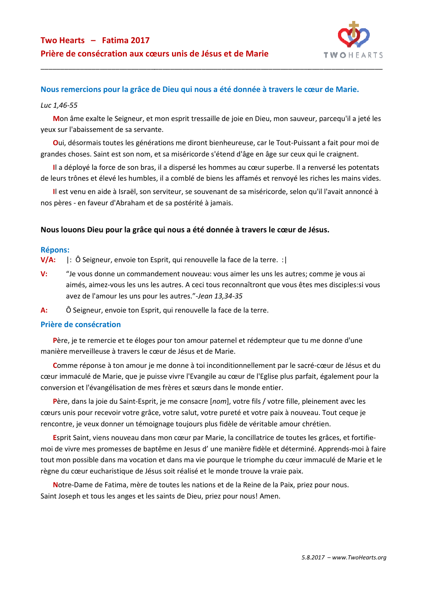

## **Nous remercions pour la grâce de Dieu qui nous a été donnée à travers le cœur de Marie.**

### *Luc 1,46-55*

Mon âme exalte le Seigneur, et mon esprit tressaille de joie en Dieu, mon sauveur, parcequ'il a jeté les yeux sur l'abaissement de sa servante.

Oui, désormais toutes les générations me diront bienheureuse, car le Tout-Puissant a fait pour moi de grandes choses. Saint est son nom, et sa miséricorde s'étend d'âge en âge sur ceux qui le craignent. Puissant a fait pour moi de<br>eux qui le craignent.<br>. Il a renversé les potentats<br>é les riches les mains vides.<br>elon qu'il l'avait annoncé à

Il a déployé la force de son bras, il a dispersé les hommes au cœur superbe. Il a renversé les potentats de leurs trônes et élevé les humbles, il a comblé de biens les affamés et renvoyé les riches les mains vides.

Il est venu en aide à Israël, son serviteur, se souvenant de sa miséricorde, selon qu'il nos pères - en faveur d'Abraham et de sa postérité à jamais.

### **Nous louons Dieu pour la grâce qui nous a été donnée à travers le cœur de Jésus.**

### **Répons:**

**V/A:** |: Ô Seigneur, envoie ton Esprit, qui renouvelle la face de la terre. :|

- V: "Je vous donne un commandement nouveau: vous aimer les uns les autres; comme je vous ai aimés, aimez-vous les uns les autres. A ceci tous reconnaîtront que vous êtes mes disciples:si vous avez de l'amour les uns pour les autres."-Jean 13,34-35
- A: Ô Seigneur, envoie ton Esprit, qui renouvelle la face de la terre.

### **Prière de consécration**

Père, je te remercie et te éloges pour ton amour paternel et rédempteur que tu me donne d'une manière merveilleuse à travers le cœur de Jésus et de Marie.

Comme réponse à ton amour je me donne à toi inconditionnellement par le sacré-cœur de Jésus et du cœur immaculé de Marie, que je puisse vivre l'Evangile au cœur de l'Eglise plus parfait, également pour la conversion et l'évangélisation de mes frères et sœurs dans le monde entier.

Père, dans la joie du Saint-Esprit, je me consacre [nom], votre fils / votre fille, pleinement avec les cœurs unis pour recevoir votre grâce, votre salut, votre pureté et votre paix à nouveau. Tout ceque je rencontre, je veux donner un témoignage toujours plus fidèle de véritable amour chrétien.

Esprit Saint, viens nouveau dans mon cœur par Marie, la concillatrice de toutes les grâces, et fortifiemoi de vivre mes promesses de baptême en Jesus d'une manière fidèle et déterminé. Apprends-moi à faire tout mon possible dans ma vocation et dans ma vie pourque le triomphe du cœur immaculé de Marie et le règne du cœur eucharistique de Jésus soit réalisé et le monde trouve la vraie paix.

Notre-Dame de Fatima, mère de toutes les nations et de la Reine de la Paix, priez pour nous.<br>It Joseph et tous les anges et les saints de Dieu, priez pour nous! Amen. Saint Joseph et tous les anges et les saints de Dieu, priez pour nous!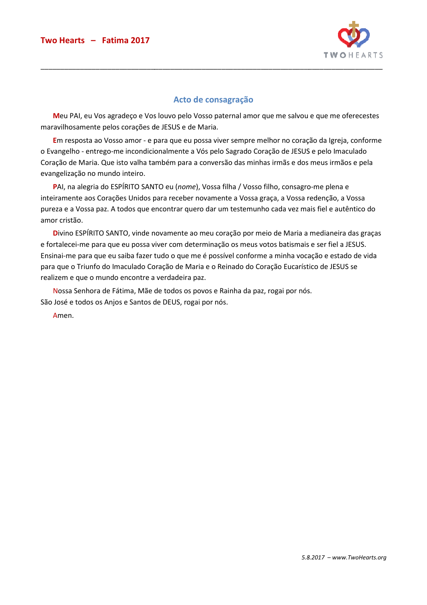

# **Acto de consagração**

\_\_\_\_\_\_\_\_\_\_\_\_\_\_\_\_\_\_\_\_\_\_\_\_\_\_\_\_\_\_\_\_\_\_\_\_\_\_\_\_\_\_\_\_\_\_\_\_\_\_\_\_\_\_\_\_\_\_\_\_\_\_\_\_\_\_\_\_\_\_\_\_\_\_\_\_\_\_\_\_\_\_\_\_\_\_\_

**M**eu PAI, eu Vos agradeço e Vos louvo pelo Vosso paternal amor que me salvou e que me oferecestes maravilhosamente pelos corações de JES JESUS e de Maria.

**E**m resposta ao Vosso amor - e para que eu possa viver sempre melhor no coração da Igreja, conforme o Evangelho - entrego-me incondicionalmente a Vós pelo Sagrado Coração de JESUS e pelo Imaculado o Evangelho - entrego-me incondicionalmente a Vós pelo Sagrado Coração de JESUS e pelo Imaculado<br>Coração de Maria. Que isto valha também para a conversão das minhas irmãs e dos meus irmãos e pela evangelização no mundo inteiro.

PAI, na alegria do ESPÍRITO SANTO eu (nome), Vossa filha / Vosso filho, consagro-me plena e inteiramente aos Corações Unidos para receber novamente a Vossa graça, a Vossa redenção, a Vossa pureza e a Vossa paz. A todos que encontrar quero dar um testemunho cada vez mais fiel e autêntico do amor cristão.

**D**ivino ESPÍRITO SANTO, vinde novamente ao meu coração por meio de Maria a medianeira das graças e fortalecei-me para que eu possa viver com determinação os meus votos batismais e ser fiel a JESUS. Ensinai-me para que eu saiba fazer tudo o que me é possível conforme a minha vocação e estado de vida Ensinai-me para que eu saiba fazer tudo o que me é possível conforme a minha vocação e estado de<br>para que o Triunfo do Imaculado Coração de Maria e o Reinado do Coração Eucarístico de JESUS se realizem e que o mundo encontre a verdadeira paz.

Nossa Senhora de Fátima, Mãe de todos os povos e Rainha da paz, rogai por nós. Nossa Senhora de Fátima, Mãe de todos os povos e Ra<br>São José e todos os Anjos e Santos de DEUS, rogai por nós.

Amen.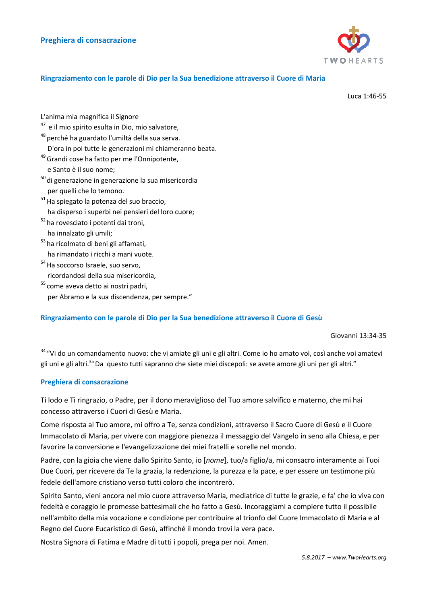

### **Ringraziamento con le parole di Dio per la Sua benedizione attraverso il Cuore di Maria**

Luca 1:46-55

L'anima mia magnifica il Signore

- $47$  e il mio spirito esulta in Dio, mio salvatore,
- <sup>48</sup> perché ha guardato l'umiltà della sua serva.
- D'ora in poi tutte le generazioni mi chiameranno beata.
- <sup>49</sup> Grandi cose ha fatto per me l'Onnipotente,

e Santo è il suo nome;

- $50$  di generazione in generazione la sua misericordia per quelli che lo temono.
- $51$  Ha spiegato la potenza del suo braccio, ha disperso i superbi nei pensieri del loro cuore;
- <sup>52</sup> ha rovesciato i potenti dai troni, ha innalzato gli umili; ha disperso i superbi nei pensieri de<br>
<sup>52</sup> ha rovesciato i potenti dai troni,<br>
ha innalzato gli umili;<br>
<sup>53</sup> ha ricolmato di beni gli affamati,<br>
ha rimandato i ricchi a mani vuote.<br>
<sup>54</sup> Ha soccorso Israele, suo servo,<br>
r
- <sup>53</sup>ha ricolmato di beni gli affamati.

ha rimandato i ricchi a mani vuote.

- $54$  Ha soccorso Israele, suo servo,
- <sup>55</sup> come aveva detto ai nostri padri, per Abramo e la sua discendenza, per sempre."

### Ringraziamento con le parole di Dio per la Sua benedizione attraverso il Cuore di Gesù

Giovanni 13:34-35

<sup>34</sup> "Vi do un comandamento nuovo: che vi amiate gli uni e gli altri. Come io ho amato voi, così anche voi amatevi gli uni e gli altri.<sup>35</sup>Da questo tutti sapranno che siete miei discepoli: se avete amore gli uni per gli altri."

### **Preghiera di consacrazione**

Ti lodo e Ti ringrazio, o Padre, per il dono meraviglioso del Tuo amore salvifico e materno, che mi hai concesso attraverso i Cuori di Gesù e Maria.

Come risposta al Tuo amore, mi offro a Te, senza condizioni, attraverso il Sacro Cuore di Gesù e il Cuore Immacolato di Maria, per vivere con maggiore pienezza il messaggio del Vangelo in seno alla Chiesa, e per favorire la conversione e l'evangelizzazione dei miei fratelli e sorelle nel mondo.

Padre, con la gioia che viene dallo Spirito Santo, io [ *nome*], tuo/a figlio/a, mi consacro interamente ai Tuoi Due Cuori, per ricevere da Te la grazia, la redenzione, la purezza e la pace, e per essere un testimone più fedele dell'amore cristiano verso tutti coloro che incontrerò. iglioso del Tuo amore salvifico e materno, che mi hai<br>a condizioni, attraverso il Sacro Cuore di Gesù e il Cuore<br>ienezza il messaggio del Vangelo in seno alla Chiesa, e per<br>miei fratelli e sorelle nel mondo.<br>io [*nome*], t

Spirito Santo, vieni ancora nel mio cuore attraverso Maria, mediatrice di tutte le grazie, e fa' che io viva con fedeltà e coraggio le promesse battesimali che ho fatto a Gesù. Incoraggiami a compiere tutto il possibile nell'ambito della mia vocazione e condizione per contribuire al trionfo del Cuore Immacolato di Maria e al Regno del Cuore Eucaristico di Gesù, affinché il mondo trovi la vera pace.<br>Nostra Signora di Fatima e Madre di tutti i popoli, prega per noi. Amen.

Nostra Signora di Fatima e Madre di tutti i popoli, prega per noi.